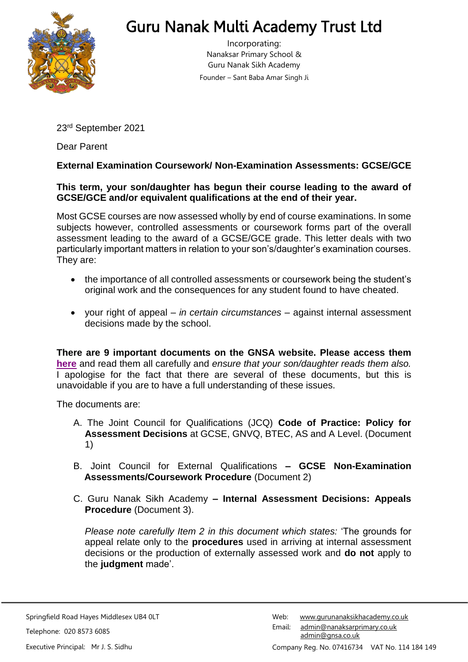

## Guru Nanak Multi Academy Trust Ltd

Incorporating: Nanaksar Primary School & Guru Nanak Sikh Academy Founder – Sant Baba Amar Singh Ji

23rd September 2021

Dear Parent

## **External Examination Coursework/ Non-Examination Assessments: GCSE/GCE**

## **This term, your son/daughter has begun their course leading to the award of GCSE/GCE and/or equivalent qualifications at the end of their year.**

Most GCSE courses are now assessed wholly by end of course examinations. In some subjects however, controlled assessments or coursework forms part of the overall assessment leading to the award of a GCSE/GCE grade. This letter deals with two particularly important matters in relation to your son's/daughter's examination courses. They are:

- the importance of all controlled assessments or coursework being the student's original work and the consequences for any student found to have cheated.
- your right of appeal *in certain circumstances* against internal assessment decisions made by the school.

**There are 9 important documents on the GNSA website. Please access them [here](https://www.gurunanaksikhacademy.co.uk/page/?title=Examinations&pid=210)** and read them all carefully and *ensure that your son/daughter reads them also.* I apologise for the fact that there are several of these documents, but this is unavoidable if you are to have a full understanding of these issues.

The documents are:

- A. The Joint Council for Qualifications (JCQ) **Code of Practice: Policy for Assessment Decisions** at GCSE, GNVQ, BTEC, AS and A Level. (Document 1)
- B. Joint Council for External Qualifications **– GCSE Non-Examination Assessments/Coursework Procedure** (Document 2)
- C. Guru Nanak Sikh Academy **– Internal Assessment Decisions: Appeals Procedure** (Document 3).

*Please note carefully Item 2 in this document which states:* 'The grounds for appeal relate only to the **procedures** used in arriving at internal assessment decisions or the production of externally assessed work and **do not** apply to the **judgment** made'.